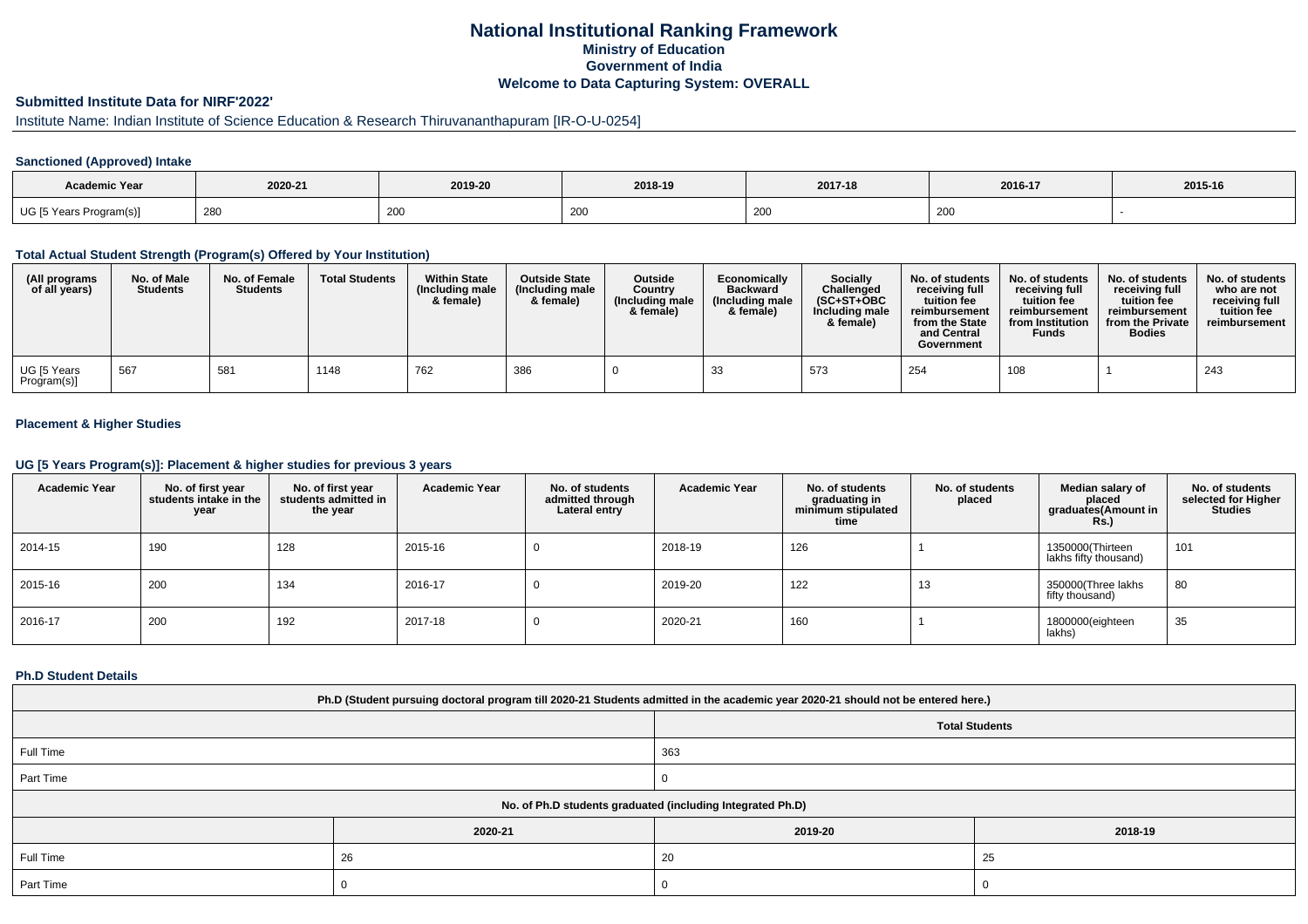# **National Institutional Ranking FrameworkMinistry of Education Government of IndiaWelcome to Data Capturing System: OVERALL**

# **Submitted Institute Data for NIRF'2022'**

# Institute Name: Indian Institute of Science Education & Research Thiruvananthapuram [IR-O-U-0254]

### **Sanctioned (Approved) Intake**

| <b>Academic Year</b>                          | 2020-21 | 2019-20 | 2018-19       | 2017-18 | 2016-17 | 2015-16 |
|-----------------------------------------------|---------|---------|---------------|---------|---------|---------|
| $\sim$ $\sim$<br>UG [5 Years i<br>Program(s)] | 280     | 200     | $\sim$<br>∠∪∖ | 200     | 200     |         |

#### **Total Actual Student Strength (Program(s) Offered by Your Institution)**

| (All programs<br>of all years) | No. of Male<br><b>Students</b> | No. of Female<br><b>Students</b> | <b>Total Students</b> | <b>Within State</b><br>(Including male<br>& female) | <b>Outside State</b><br>(Including male<br>& female) | <b>Outside</b><br>Country<br>(Including male<br>& female) | Economically<br><b>Backward</b><br>(Including male<br>& female) | <b>Socially</b><br>Challenged<br>$(SC+ST+OBC$<br>Including male<br>& female) | No. of students<br>receiving full<br>tuition fee<br>reimbursement<br>from the State<br>and Central<br>Government | No. of students<br>receiving full<br>tuition fee<br>reimbursement<br>from Institution<br><b>Funds</b> | No. of students<br>receiving full<br>tuition fee<br>reimbursement<br>from the Private<br><b>Bodies</b> | No. of students<br>who are not<br>receiving full<br>tuition fee<br>reimbursement |
|--------------------------------|--------------------------------|----------------------------------|-----------------------|-----------------------------------------------------|------------------------------------------------------|-----------------------------------------------------------|-----------------------------------------------------------------|------------------------------------------------------------------------------|------------------------------------------------------------------------------------------------------------------|-------------------------------------------------------------------------------------------------------|--------------------------------------------------------------------------------------------------------|----------------------------------------------------------------------------------|
| UG [5 Years<br>Program(s)]     | 567                            | 581                              | 1148                  | 762                                                 | 386                                                  |                                                           | 33                                                              | 573                                                                          | 254                                                                                                              | 108                                                                                                   |                                                                                                        | 243                                                                              |

### **Placement & Higher Studies**

#### **UG [5 Years Program(s)]: Placement & higher studies for previous 3 years**

| <b>Academic Year</b> | No. of first year<br>students intake in the<br>year | No. of first vear<br>students admitted in<br>the year | <b>Academic Year</b> | No. of students<br>admitted through<br>Lateral entry | <b>Academic Year</b> | No. of students<br>graduating in<br>minimum stipulated<br>time | No. of students<br>placed | Median salary of<br>placed<br>graduates(Amount in<br><b>Rs.)</b> | No. of students<br>selected for Higher<br><b>Studies</b> |
|----------------------|-----------------------------------------------------|-------------------------------------------------------|----------------------|------------------------------------------------------|----------------------|----------------------------------------------------------------|---------------------------|------------------------------------------------------------------|----------------------------------------------------------|
| 2014-15              | 190                                                 | 128                                                   | 2015-16              |                                                      | 2018-19              | 126                                                            |                           | 1350000(Thirteen<br>lakhs fifty thousand)                        | 101                                                      |
| 2015-16              | 200                                                 | 134                                                   | 2016-17              | v                                                    | 2019-20              | 122                                                            | 13                        | 350000(Three lakhs<br>fifty thousand)                            | 80                                                       |
| 2016-17              | 200                                                 | 192                                                   | 2017-18              |                                                      | 2020-21              | 160                                                            |                           | 1800000(eighteen<br>lakhs)                                       | 35                                                       |

#### **Ph.D Student Details**

| Ph.D (Student pursuing doctoral program till 2020-21 Students admitted in the academic year 2020-21 should not be entered here.) |                                                            |                       |         |  |  |  |
|----------------------------------------------------------------------------------------------------------------------------------|------------------------------------------------------------|-----------------------|---------|--|--|--|
|                                                                                                                                  |                                                            | <b>Total Students</b> |         |  |  |  |
| Full Time                                                                                                                        |                                                            | 363                   |         |  |  |  |
| Part Time                                                                                                                        |                                                            |                       |         |  |  |  |
|                                                                                                                                  | No. of Ph.D students graduated (including Integrated Ph.D) |                       |         |  |  |  |
|                                                                                                                                  | 2020-21                                                    | 2019-20               | 2018-19 |  |  |  |
| Full Time                                                                                                                        | 26                                                         | 20                    | 25      |  |  |  |
| Part Time                                                                                                                        |                                                            | U                     |         |  |  |  |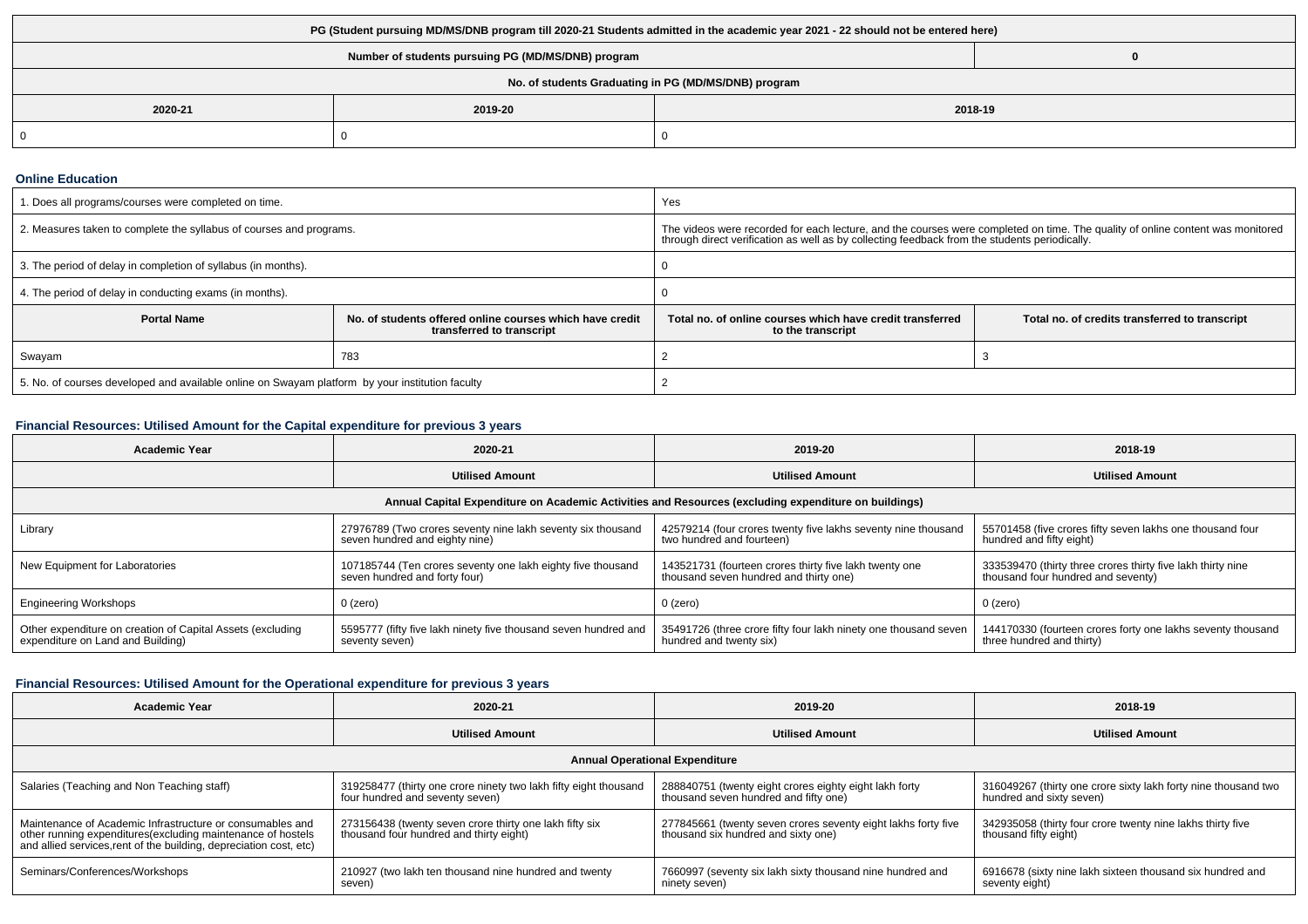| PG (Student pursuing MD/MS/DNB program till 2020-21 Students admitted in the academic year 2021 - 22 should not be entered here) |         |         |  |  |  |
|----------------------------------------------------------------------------------------------------------------------------------|---------|---------|--|--|--|
| Number of students pursuing PG (MD/MS/DNB) program                                                                               |         |         |  |  |  |
| No. of students Graduating in PG (MD/MS/DNB) program                                                                             |         |         |  |  |  |
| 2020-21                                                                                                                          | 2019-20 | 2018-19 |  |  |  |
| 0                                                                                                                                |         |         |  |  |  |

#### **Online Education**

| 1. Does all programs/courses were completed on time.                                            |                                                                                       | Yes                                                                                                                                                                                                                             |                                                |  |
|-------------------------------------------------------------------------------------------------|---------------------------------------------------------------------------------------|---------------------------------------------------------------------------------------------------------------------------------------------------------------------------------------------------------------------------------|------------------------------------------------|--|
| 2. Measures taken to complete the syllabus of courses and programs.                             |                                                                                       | The videos were recorded for each lecture, and the courses were completed on time. The quality of online content was monitored<br>through direct verification as well as by collecting feedback from the students periodically. |                                                |  |
| 3. The period of delay in completion of syllabus (in months).                                   |                                                                                       |                                                                                                                                                                                                                                 |                                                |  |
| 4. The period of delay in conducting exams (in months).                                         |                                                                                       |                                                                                                                                                                                                                                 |                                                |  |
| <b>Portal Name</b>                                                                              | No. of students offered online courses which have credit<br>transferred to transcript | Total no, of online courses which have credit transferred<br>to the transcript                                                                                                                                                  | Total no. of credits transferred to transcript |  |
| Swayam                                                                                          | 783                                                                                   |                                                                                                                                                                                                                                 |                                                |  |
| 5. No. of courses developed and available online on Swayam platform by your institution faculty |                                                                                       |                                                                                                                                                                                                                                 |                                                |  |

# **Financial Resources: Utilised Amount for the Capital expenditure for previous 3 years**

| <b>Academic Year</b>                                                                                 | 2020-21                                                                                       | 2019-20                                                                                          | 2018-19                                                                                           |  |  |  |
|------------------------------------------------------------------------------------------------------|-----------------------------------------------------------------------------------------------|--------------------------------------------------------------------------------------------------|---------------------------------------------------------------------------------------------------|--|--|--|
|                                                                                                      | <b>Utilised Amount</b>                                                                        | <b>Utilised Amount</b>                                                                           | <b>Utilised Amount</b>                                                                            |  |  |  |
| Annual Capital Expenditure on Academic Activities and Resources (excluding expenditure on buildings) |                                                                                               |                                                                                                  |                                                                                                   |  |  |  |
| Library                                                                                              | 27976789 (Two crores seventy nine lakh seventy six thousand<br>seven hundred and eighty nine) | 42579214 (four crores twenty five lakhs seventy nine thousand<br>two hundred and fourteen)       | 55701458 (five crores fifty seven lakhs one thousand four<br>hundred and fifty eight)             |  |  |  |
| New Equipment for Laboratories                                                                       | 107185744 (Ten crores seventy one lakh eighty five thousand<br>seven hundred and forty four)  | 143521731 (fourteen crores thirty five lakh twenty one<br>thousand seven hundred and thirty one) | 333539470 (thirty three crores thirty five lakh thirty nine<br>thousand four hundred and seventy) |  |  |  |
| <b>Engineering Workshops</b>                                                                         | $0$ (zero)                                                                                    | $0$ (zero)                                                                                       | 0 (zero)                                                                                          |  |  |  |
| Other expenditure on creation of Capital Assets (excluding<br>expenditure on Land and Building)      | 5595777 (fifty five lakh ninety five thousand seven hundred and<br>seventy seven)             | 35491726 (three crore fifty four lakh ninety one thousand seven<br>hundred and twenty six)       | 144170330 (fourteen crores forty one lakhs seventy thousand<br>three hundred and thirty)          |  |  |  |

# **Financial Resources: Utilised Amount for the Operational expenditure for previous 3 years**

| <b>Academic Year</b>                                                                                                                                                                            | 2020-21                                                                                             | 2019-20                                                                                              | 2018-19                                                                                    |  |  |  |
|-------------------------------------------------------------------------------------------------------------------------------------------------------------------------------------------------|-----------------------------------------------------------------------------------------------------|------------------------------------------------------------------------------------------------------|--------------------------------------------------------------------------------------------|--|--|--|
|                                                                                                                                                                                                 | <b>Utilised Amount</b>                                                                              | <b>Utilised Amount</b>                                                                               | <b>Utilised Amount</b>                                                                     |  |  |  |
| <b>Annual Operational Expenditure</b>                                                                                                                                                           |                                                                                                     |                                                                                                      |                                                                                            |  |  |  |
| Salaries (Teaching and Non Teaching staff)                                                                                                                                                      | 319258477 (thirty one crore ninety two lakh fifty eight thousand<br>four hundred and seventy seven) | 288840751 (twenty eight crores eighty eight lakh forty<br>thousand seven hundred and fifty one)      | 316049267 (thirty one crore sixty lakh forty nine thousand two<br>hundred and sixty seven) |  |  |  |
| Maintenance of Academic Infrastructure or consumables and<br>other running expenditures (excluding maintenance of hostels<br>and allied services, rent of the building, depreciation cost, etc) | 273156438 (twenty seven crore thirty one lakh fifty six<br>thousand four hundred and thirty eight)  | 277845661 (twenty seven crores seventy eight lakhs forty five<br>thousand six hundred and sixty one) | 342935058 (thirty four crore twenty nine lakhs thirty five<br>thousand fifty eight)        |  |  |  |
| Seminars/Conferences/Workshops                                                                                                                                                                  | 210927 (two lakh ten thousand nine hundred and twenty<br>seven)                                     | 7660997 (seventy six lakh sixty thousand nine hundred and<br>ninety seven)                           | 6916678 (sixty nine lakh sixteen thousand six hundred and<br>seventy eight)                |  |  |  |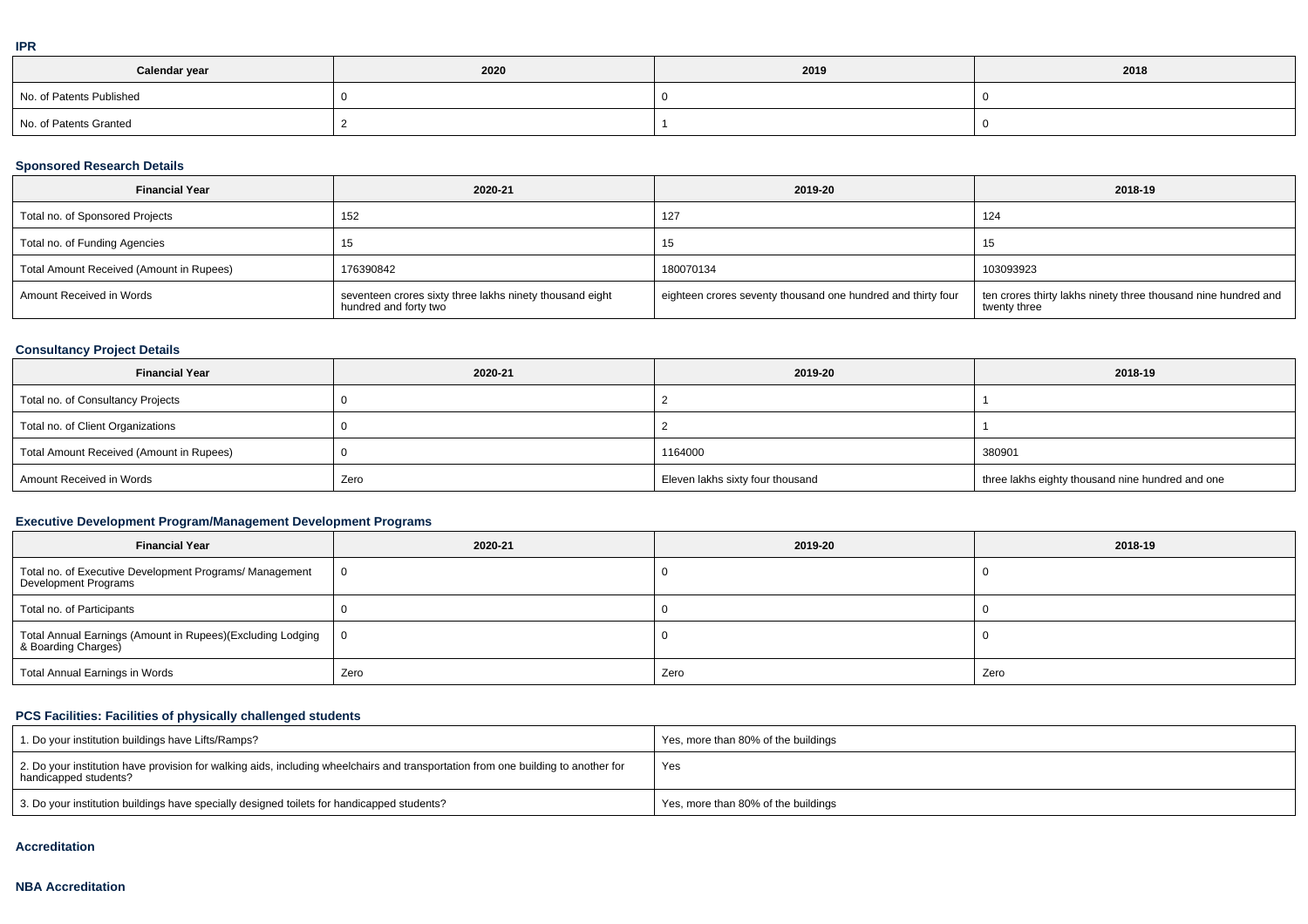| ---<br><b>IFR</b> |      |      |      |
|-------------------|------|------|------|
| Calendar year     | 2020 | 2019 | 2018 |
|                   |      |      |      |

| No. of Patents Published |  |  |
|--------------------------|--|--|
| No. of Patents Granted   |  |  |

### **Sponsored Research Details**

| <b>Financial Year</b>                    | 2020-21                                                                           | 2019-20                                                      | 2018-19                                                                        |
|------------------------------------------|-----------------------------------------------------------------------------------|--------------------------------------------------------------|--------------------------------------------------------------------------------|
| Total no. of Sponsored Projects          | 152                                                                               | 127                                                          | 124                                                                            |
| Total no. of Funding Agencies            | 15                                                                                | 15                                                           |                                                                                |
| Total Amount Received (Amount in Rupees) | 176390842                                                                         | 180070134                                                    | 103093923                                                                      |
| Amount Received in Words                 | seventeen crores sixty three lakhs ninety thousand eight<br>hundred and forty two | eighteen crores seventy thousand one hundred and thirty four | ten crores thirty lakhs ninety three thousand nine hundred and<br>twenty three |

# **Consultancy Project Details**

| <b>Financial Year</b>                    | 2020-21 | 2019-20                          | 2018-19                                          |
|------------------------------------------|---------|----------------------------------|--------------------------------------------------|
| Total no. of Consultancy Projects        |         |                                  |                                                  |
| Total no. of Client Organizations        |         |                                  |                                                  |
| Total Amount Received (Amount in Rupees) |         | 1164000                          | 380901                                           |
| Amount Received in Words                 | Zero    | Eleven lakhs sixty four thousand | three lakhs eighty thousand nine hundred and one |

# **Executive Development Program/Management Development Programs**

| <b>Financial Year</b>                                                               | 2020-21      | 2019-20 | 2018-19 |  |
|-------------------------------------------------------------------------------------|--------------|---------|---------|--|
| Total no. of Executive Development Programs/ Management<br>Development Programs     | $\mathbf{0}$ |         |         |  |
| Total no. of Participants                                                           |              |         |         |  |
| Total Annual Earnings (Amount in Rupees)(Excluding Lodging<br>  & Boarding Charges) | - 0          |         |         |  |
| Total Annual Earnings in Words                                                      | Zero         | Zero    | Zero    |  |

# **PCS Facilities: Facilities of physically challenged students**

| 1. Do your institution buildings have Lifts/Ramps?                                                                                                         | Yes, more than 80% of the buildings |
|------------------------------------------------------------------------------------------------------------------------------------------------------------|-------------------------------------|
| 2. Do your institution have provision for walking aids, including wheelchairs and transportation from one building to another for<br>handicapped students? | Yes                                 |
| 3. Do your institution buildings have specially designed toilets for handicapped students?                                                                 | Yes, more than 80% of the buildings |

#### **Accreditation**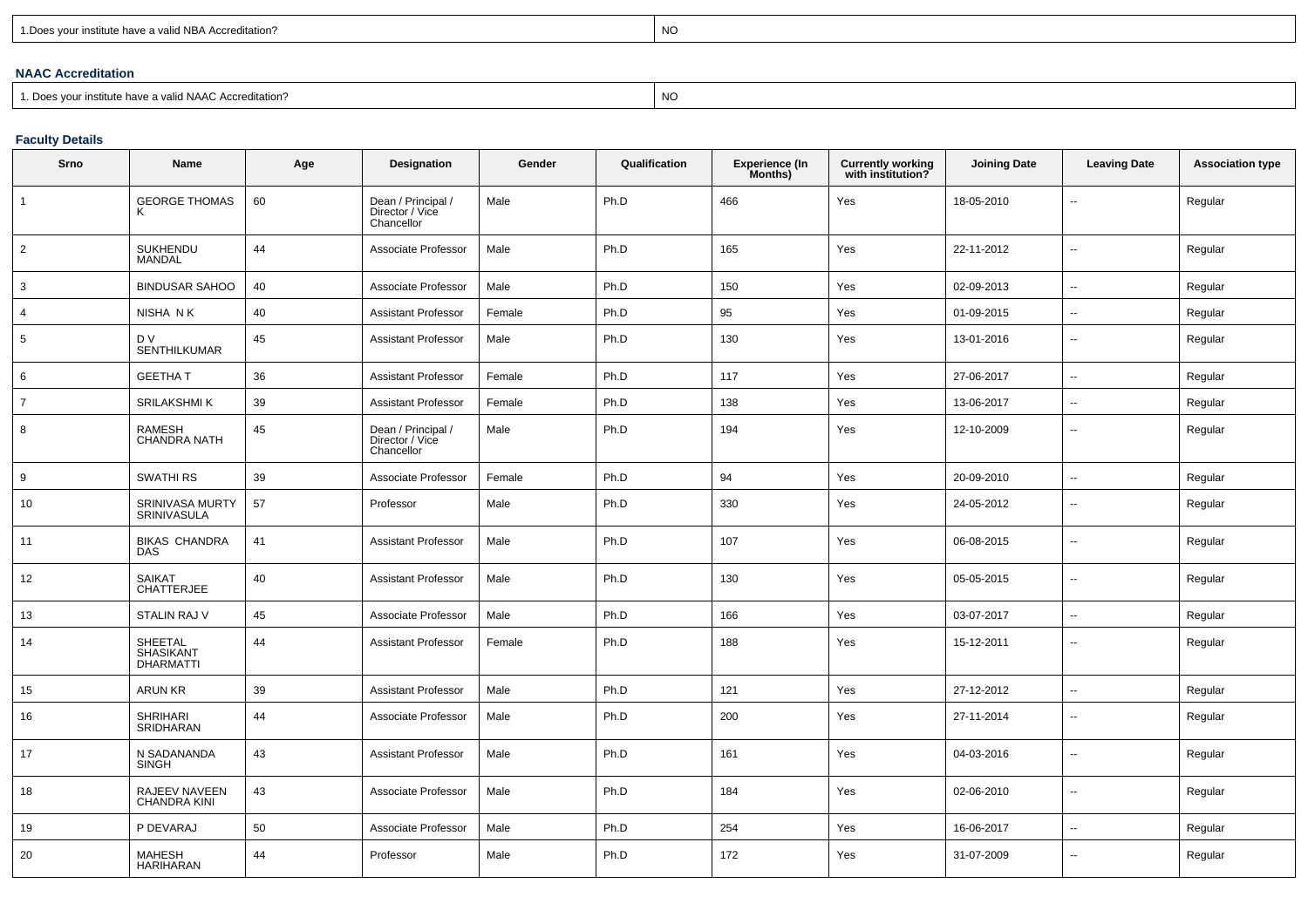| 1. Does your institute have a valid NBA Accreditation? |  |
|--------------------------------------------------------|--|
|                                                        |  |

expression of the contract of the contract of the contract of the contract of the contract of the contract of the contract of the contract of the contract of the contract of the contract of the contract of the contract of

### **NAAC Accreditation**

1. Does your institute have a valid NAAC Accreditation?

expression of the contract of the contract of the contract of the contract of the contract of the contract of the contract of the contract of the contract of the contract of the contract of the contract of the contract of

# **Faculty Details**

| Srno           | Name                                            | Age | Designation                                         | Gender | Qualification | <b>Experience (In</b><br>Months) | <b>Currently working</b><br>with institution? | <b>Joining Date</b> | <b>Leaving Date</b>      | <b>Association type</b> |
|----------------|-------------------------------------------------|-----|-----------------------------------------------------|--------|---------------|----------------------------------|-----------------------------------------------|---------------------|--------------------------|-------------------------|
| $\mathbf{1}$   | <b>GEORGE THOMAS</b><br>ĸ                       | 60  | Dean / Principal /<br>Director / Vice<br>Chancellor | Male   | Ph.D          | 466                              | Yes                                           | 18-05-2010          | $\overline{a}$           | Regular                 |
| $\overline{2}$ | SUKHENDU<br><b>MANDAL</b>                       | 44  | Associate Professor                                 | Male   | Ph.D          | 165                              | Yes                                           | 22-11-2012          | $\overline{\phantom{a}}$ | Regular                 |
| 3              | <b>BINDUSAR SAHOO</b>                           | 40  | Associate Professor                                 | Male   | Ph.D          | 150                              | Yes                                           | 02-09-2013          | $\sim$                   | Regular                 |
| 4              | NISHA NK                                        | 40  | <b>Assistant Professor</b>                          | Female | Ph.D          | 95                               | Yes                                           | 01-09-2015          | $\overline{\phantom{a}}$ | Regular                 |
| 5              | D V<br><b>SENTHILKUMAR</b>                      | 45  | <b>Assistant Professor</b>                          | Male   | Ph.D          | 130                              | Yes                                           | 13-01-2016          | $\overline{\phantom{a}}$ | Regular                 |
| 6              | <b>GEETHAT</b>                                  | 36  | <b>Assistant Professor</b>                          | Female | Ph.D          | 117                              | Yes                                           | 27-06-2017          | $\sim$                   | Regular                 |
| $\overline{7}$ | SRILAKSHMI K                                    | 39  | <b>Assistant Professor</b>                          | Female | Ph.D          | 138                              | Yes                                           | 13-06-2017          | $\overline{\phantom{a}}$ | Regular                 |
| 8              | <b>RAMESH</b><br>CHANDRA NATH                   | 45  | Dean / Principal /<br>Director / Vice<br>Chancellor | Male   | Ph.D          | 194                              | Yes                                           | 12-10-2009          | $\overline{\phantom{a}}$ | Regular                 |
| 9              | <b>SWATHIRS</b>                                 | 39  | Associate Professor                                 | Female | Ph.D          | 94                               | Yes                                           | 20-09-2010          | $\sim$                   | Regular                 |
| 10             | SRINIVASA MURTY<br><b>SRINIVASULA</b>           | 57  | Professor                                           | Male   | Ph.D          | 330                              | Yes                                           | 24-05-2012          | $\overline{\phantom{a}}$ | Regular                 |
| 11             | <b>BIKAS CHANDRA</b><br><b>DAS</b>              | 41  | <b>Assistant Professor</b>                          | Male   | Ph.D          | 107                              | Yes                                           | 06-08-2015          | $\overline{a}$           | Regular                 |
| 12             | <b>SAIKAT</b><br><b>CHATTERJEE</b>              | 40  | <b>Assistant Professor</b>                          | Male   | Ph.D          | 130                              | Yes                                           | 05-05-2015          | $\sim$                   | Regular                 |
| 13             | <b>STALIN RAJ V</b>                             | 45  | Associate Professor                                 | Male   | Ph.D          | 166                              | Yes                                           | 03-07-2017          | $\overline{\phantom{a}}$ | Regular                 |
| 14             | SHEETAL<br><b>SHASIKANT</b><br><b>DHARMATTI</b> | 44  | <b>Assistant Professor</b>                          | Female | Ph.D          | 188                              | Yes                                           | 15-12-2011          | $\overline{\phantom{a}}$ | Regular                 |
| 15             | <b>ARUN KR</b>                                  | 39  | <b>Assistant Professor</b>                          | Male   | Ph.D          | 121                              | Yes                                           | 27-12-2012          | $\sim$                   | Regular                 |
| 16             | <b>SHRIHARI</b><br>SRIDHARAN                    | 44  | Associate Professor                                 | Male   | Ph.D          | 200                              | Yes                                           | 27-11-2014          | $\overline{\phantom{a}}$ | Regular                 |
| 17             | N SADANANDA<br><b>SINGH</b>                     | 43  | <b>Assistant Professor</b>                          | Male   | Ph.D          | 161                              | Yes                                           | 04-03-2016          | $\overline{\phantom{a}}$ | Regular                 |
| 18             | RAJEEV NAVEEN<br><b>CHANDRA KINI</b>            | 43  | Associate Professor                                 | Male   | Ph.D          | 184                              | Yes                                           | 02-06-2010          | $\sim$                   | Regular                 |
| 19             | P DEVARAJ                                       | 50  | Associate Professor                                 | Male   | Ph.D          | 254                              | Yes                                           | 16-06-2017          | $\sim$                   | Regular                 |
| 20             | <b>MAHESH</b><br><b>HARIHARAN</b>               | 44  | Professor                                           | Male   | Ph.D          | 172                              | Yes                                           | 31-07-2009          | $\overline{\phantom{a}}$ | Regular                 |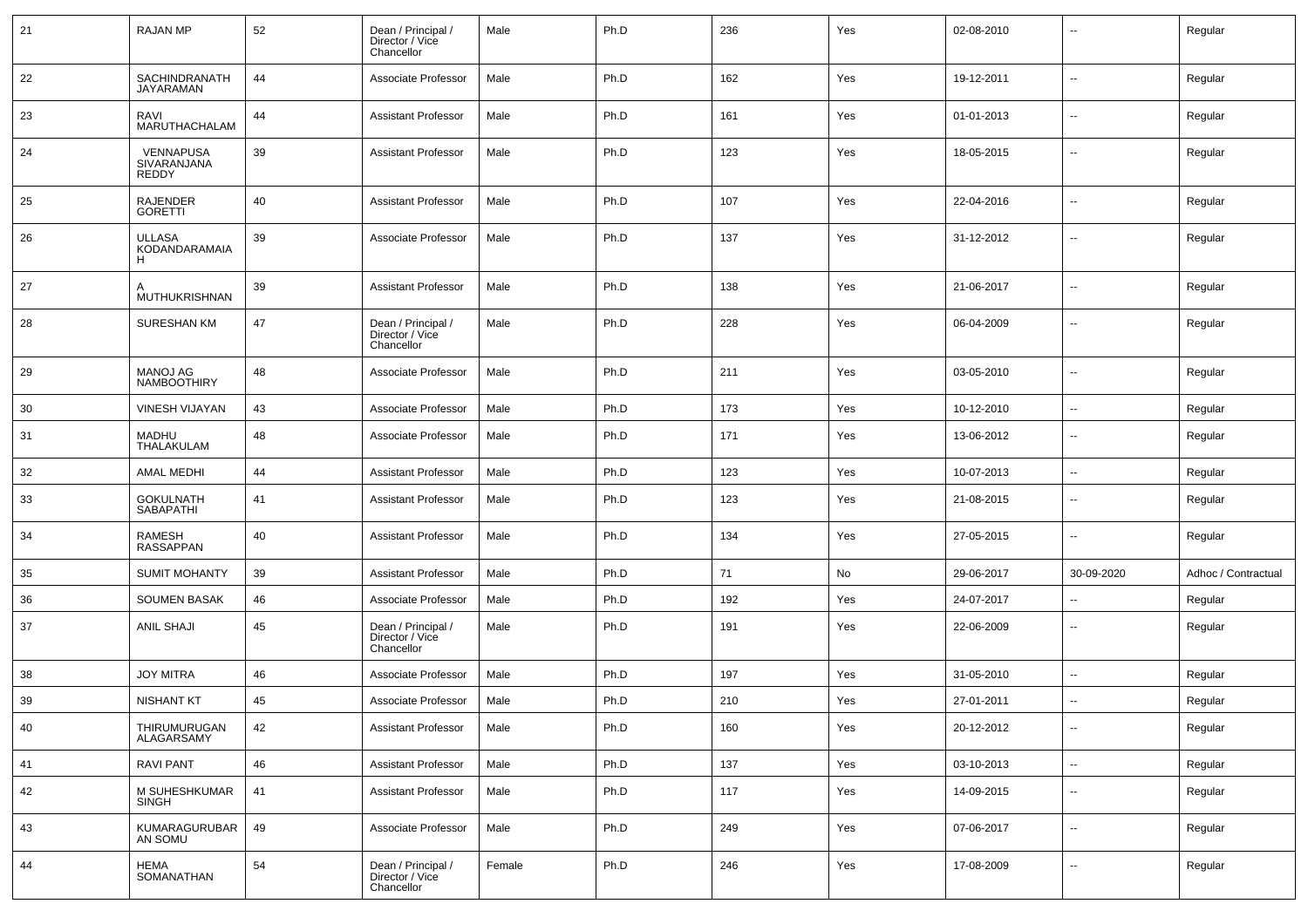| 21 | <b>RAJAN MP</b>                       | 52 | Dean / Principal /<br>Director / Vice<br>Chancellor | Male   | Ph.D | 236 | Yes | 02-08-2010 | -−                       | Regular             |
|----|---------------------------------------|----|-----------------------------------------------------|--------|------|-----|-----|------------|--------------------------|---------------------|
| 22 | SACHINDRANATH<br>JAYARAMAN            | 44 | Associate Professor                                 | Male   | Ph.D | 162 | Yes | 19-12-2011 | $\overline{\phantom{a}}$ | Regular             |
| 23 | RAVI<br>MARUTHACHALAM                 | 44 | <b>Assistant Professor</b>                          | Male   | Ph.D | 161 | Yes | 01-01-2013 | --                       | Regular             |
| 24 | VENNAPUSA<br>SIVARANJANA<br>REDDY     | 39 | <b>Assistant Professor</b>                          | Male   | Ph.D | 123 | Yes | 18-05-2015 | $\overline{\phantom{a}}$ | Regular             |
| 25 | <b>RAJENDER</b><br><b>GORETTI</b>     | 40 | <b>Assistant Professor</b>                          | Male   | Ph.D | 107 | Yes | 22-04-2016 | $\sim$                   | Regular             |
| 26 | <b>ULLASA</b><br>KODANDARAMAIA<br>н   | 39 | Associate Professor                                 | Male   | Ph.D | 137 | Yes | 31-12-2012 | $\overline{\phantom{a}}$ | Regular             |
| 27 | MUTHUKRISHNAN                         | 39 | <b>Assistant Professor</b>                          | Male   | Ph.D | 138 | Yes | 21-06-2017 | --                       | Regular             |
| 28 | <b>SURESHAN KM</b>                    | 47 | Dean / Principal /<br>Director / Vice<br>Chancellor | Male   | Ph.D | 228 | Yes | 06-04-2009 | --                       | Regular             |
| 29 | <b>MANOJ AG</b><br><b>NAMBOOTHIRY</b> | 48 | Associate Professor                                 | Male   | Ph.D | 211 | Yes | 03-05-2010 | --                       | Regular             |
| 30 | VINESH VIJAYAN                        | 43 | Associate Professor                                 | Male   | Ph.D | 173 | Yes | 10-12-2010 | $\overline{\phantom{a}}$ | Regular             |
| 31 | <b>MADHU</b><br>THALAKULAM            | 48 | Associate Professor                                 | Male   | Ph.D | 171 | Yes | 13-06-2012 | -−                       | Regular             |
| 32 | <b>AMAL MEDHI</b>                     | 44 | <b>Assistant Professor</b>                          | Male   | Ph.D | 123 | Yes | 10-07-2013 | --                       | Regular             |
| 33 | <b>GOKULNATH</b><br>SABAPATHI         | 41 | <b>Assistant Professor</b>                          | Male   | Ph.D | 123 | Yes | 21-08-2015 | $\overline{\phantom{a}}$ | Regular             |
| 34 | <b>RAMESH</b><br>RASSAPPAN            | 40 | <b>Assistant Professor</b>                          | Male   | Ph.D | 134 | Yes | 27-05-2015 | $\mathbf{u}$             | Regular             |
| 35 | <b>SUMIT MOHANTY</b>                  | 39 | <b>Assistant Professor</b>                          | Male   | Ph.D | 71  | No  | 29-06-2017 | 30-09-2020               | Adhoc / Contractual |
| 36 | <b>SOUMEN BASAK</b>                   | 46 | Associate Professor                                 | Male   | Ph.D | 192 | Yes | 24-07-2017 | $\overline{\phantom{a}}$ | Regular             |
| 37 | <b>ANIL SHAJI</b>                     | 45 | Dean / Principal /<br>Director / Vice<br>Chancellor | Male   | Ph.D | 191 | Yes | 22-06-2009 | ⊷                        | Regular             |
| 38 | <b>JOY MITRA</b>                      | 46 | Associate Professor                                 | Male   | Ph.D | 197 | Yes | 31-05-2010 | $\overline{\phantom{a}}$ | Regular             |
| 39 | <b>NISHANT KT</b>                     | 45 | Associate Professor                                 | Male   | Ph.D | 210 | Yes | 27-01-2011 | н.                       | Regular             |
| 40 | THIRUMURUGAN<br>ALAGARSAMY            | 42 | <b>Assistant Professor</b>                          | Male   | Ph.D | 160 | Yes | 20-12-2012 | $\overline{\phantom{a}}$ | Regular             |
| 41 | RAVI PANT                             | 46 | <b>Assistant Professor</b>                          | Male   | Ph.D | 137 | Yes | 03-10-2013 | Щ,                       | Regular             |
| 42 | M SUHESHKUMAR<br>SINGH                | 41 | <b>Assistant Professor</b>                          | Male   | Ph.D | 117 | Yes | 14-09-2015 | ⊶.                       | Regular             |
| 43 | KUMARAGURUBAR<br>AN SOMU              | 49 | Associate Professor                                 | Male   | Ph.D | 249 | Yes | 07-06-2017 | ⊷.                       | Regular             |
| 44 | <b>HEMA</b><br>SOMANATHAN             | 54 | Dean / Principal /<br>Director / Vice<br>Chancellor | Female | Ph.D | 246 | Yes | 17-08-2009 | ⊶.                       | Regular             |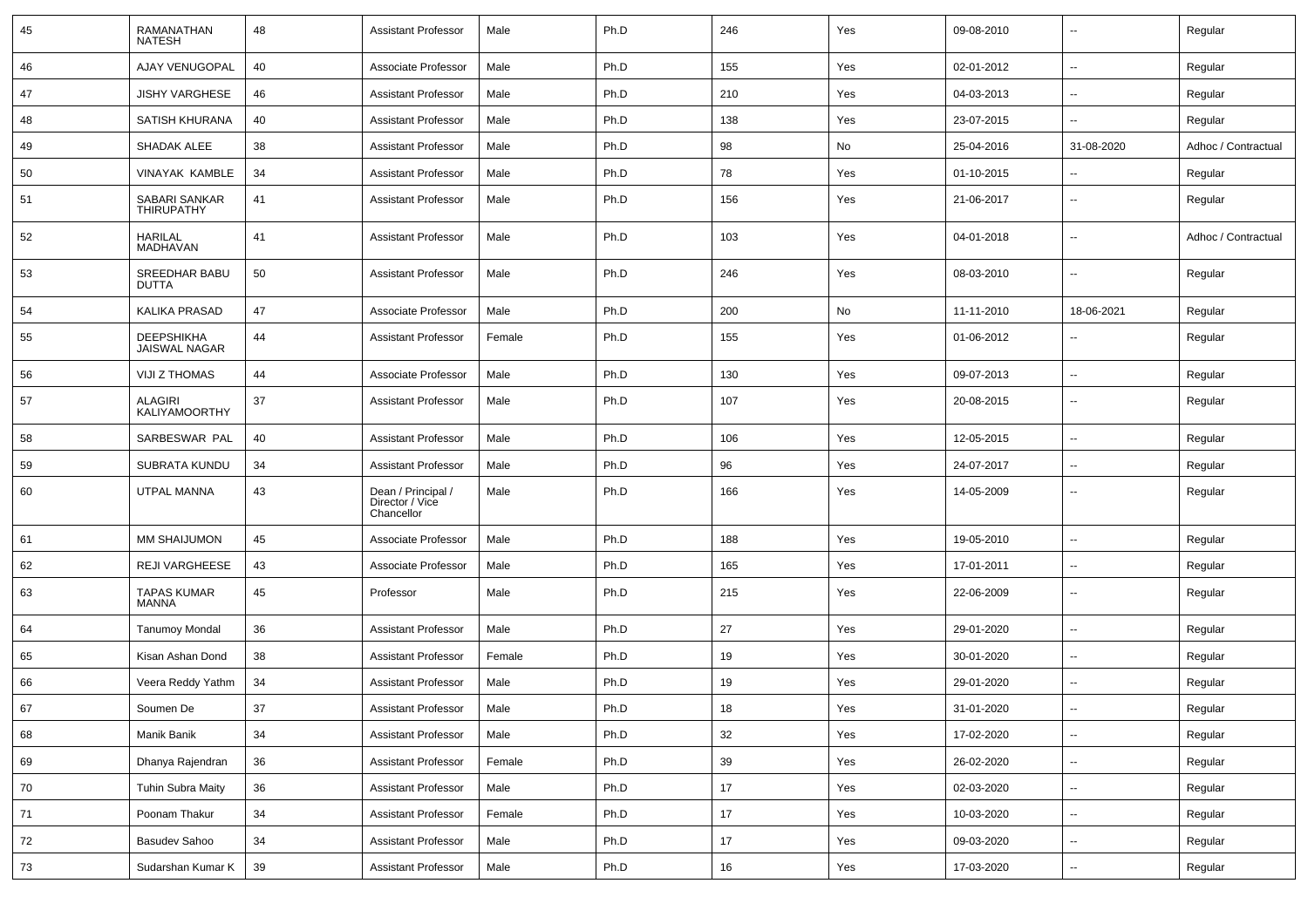| 45 | RAMANATHAN<br><b>NATESH</b>               | 48 | <b>Assistant Professor</b>                          | Male   | Ph.D | 246  | Yes | 09-08-2010 | $\overline{\phantom{a}}$ | Regular             |
|----|-------------------------------------------|----|-----------------------------------------------------|--------|------|------|-----|------------|--------------------------|---------------------|
| 46 | AJAY VENUGOPAL                            | 40 | Associate Professor                                 | Male   | Ph.D | 155  | Yes | 02-01-2012 | $\sim$                   | Regular             |
| 47 | <b>JISHY VARGHESE</b>                     | 46 | <b>Assistant Professor</b>                          | Male   | Ph.D | 210  | Yes | 04-03-2013 | $\overline{a}$           | Regular             |
| 48 | SATISH KHURANA                            | 40 | <b>Assistant Professor</b>                          | Male   | Ph.D | 138  | Yes | 23-07-2015 | --                       | Regular             |
| 49 | SHADAK ALEE                               | 38 | <b>Assistant Professor</b>                          | Male   | Ph.D | 98   | No  | 25-04-2016 | 31-08-2020               | Adhoc / Contractual |
| 50 | <b>VINAYAK KAMBLE</b>                     | 34 | <b>Assistant Professor</b>                          | Male   | Ph.D | 78   | Yes | 01-10-2015 |                          | Regular             |
| 51 | SABARI SANKAR<br><b>THIRUPATHY</b>        | 41 | <b>Assistant Professor</b>                          | Male   | Ph.D | 156  | Yes | 21-06-2017 | $\sim$                   | Regular             |
| 52 | <b>HARILAL</b><br>MADHAVAN                | 41 | <b>Assistant Professor</b>                          | Male   | Ph.D | 103  | Yes | 04-01-2018 | $\sim$                   | Adhoc / Contractual |
| 53 | SREEDHAR BABU<br><b>DUTTA</b>             | 50 | <b>Assistant Professor</b>                          | Male   | Ph.D | 246  | Yes | 08-03-2010 | $\sim$                   | Regular             |
| 54 | <b>KALIKA PRASAD</b>                      | 47 | Associate Professor                                 | Male   | Ph.D | 200  | No  | 11-11-2010 | 18-06-2021               | Regular             |
| 55 | <b>DEEPSHIKHA</b><br><b>JAISWAL NAGAR</b> | 44 | <b>Assistant Professor</b>                          | Female | Ph.D | 155  | Yes | 01-06-2012 | $\overline{\phantom{a}}$ | Regular             |
| 56 | <b>VIJI Z THOMAS</b>                      | 44 | Associate Professor                                 | Male   | Ph.D | 130  | Yes | 09-07-2013 | $\sim$                   | Regular             |
| 57 | <b>ALAGIRI</b><br><b>KALIYAMOORTHY</b>    | 37 | <b>Assistant Professor</b>                          | Male   | Ph.D | 107  | Yes | 20-08-2015 | $\sim$                   | Regular             |
| 58 | SARBESWAR PAL                             | 40 | <b>Assistant Professor</b>                          | Male   | Ph.D | 106  | Yes | 12-05-2015 | $\overline{\phantom{a}}$ | Regular             |
| 59 | SUBRATA KUNDU                             | 34 | <b>Assistant Professor</b>                          | Male   | Ph.D | 96   | Yes | 24-07-2017 | --                       | Regular             |
| 60 | UTPAL MANNA                               | 43 | Dean / Principal /<br>Director / Vice<br>Chancellor | Male   | Ph.D | 166  | Yes | 14-05-2009 | $-$                      | Regular             |
| 61 | MM SHAIJUMON                              | 45 | Associate Professor                                 | Male   | Ph.D | 188  | Yes | 19-05-2010 | ۰.                       | Regular             |
| 62 | <b>REJI VARGHEESE</b>                     | 43 | Associate Professor                                 | Male   | Ph.D | 165  | Yes | 17-01-2011 | $- -$                    | Regular             |
| 63 | <b>TAPAS KUMAR</b><br>MANNA               | 45 | Professor                                           | Male   | Ph.D | 215  | Yes | 22-06-2009 | $\overline{a}$           | Regular             |
| 64 | <b>Tanumoy Mondal</b>                     | 36 | <b>Assistant Professor</b>                          | Male   | Ph.D | 27   | Yes | 29-01-2020 | $\overline{a}$           | Regular             |
| 65 | Kisan Ashan Dond                          | 38 | <b>Assistant Professor</b>                          | Female | Ph.D | 19   | Yes | 30-01-2020 | $\sim$                   | Regular             |
| 66 | Veera Reddy Yathm                         | 34 | <b>Assistant Professor</b>                          | Male   | Ph.D | 19   | Yes | 29-01-2020 | $\overline{a}$           | Regular             |
| 67 | Soumen De                                 | 37 | <b>Assistant Professor</b>                          | Male   | Ph.D | 18   | Yes | 31-01-2020 | $\sim$                   | Regular             |
| 68 | Manik Banik                               | 34 | <b>Assistant Professor</b>                          | Male   | Ph.D | 32   | Yes | 17-02-2020 | ш.                       | Regular             |
| 69 | Dhanya Rajendran                          | 36 | <b>Assistant Professor</b>                          | Female | Ph.D | 39   | Yes | 26-02-2020 | Щ,                       | Regular             |
| 70 | <b>Tuhin Subra Maity</b>                  | 36 | <b>Assistant Professor</b>                          | Male   | Ph.D | 17   | Yes | 02-03-2020 | ш.                       | Regular             |
| 71 | Poonam Thakur                             | 34 | <b>Assistant Professor</b>                          | Female | Ph.D | 17   | Yes | 10-03-2020 | ш.                       | Regular             |
| 72 | <b>Basudev Sahoo</b>                      | 34 | <b>Assistant Professor</b>                          | Male   | Ph.D | $17$ | Yes | 09-03-2020 | $\overline{\phantom{a}}$ | Regular             |
| 73 | Sudarshan Kumar K                         | 39 | <b>Assistant Professor</b>                          | Male   | Ph.D | 16   | Yes | 17-03-2020 | $\sim$                   | Regular             |